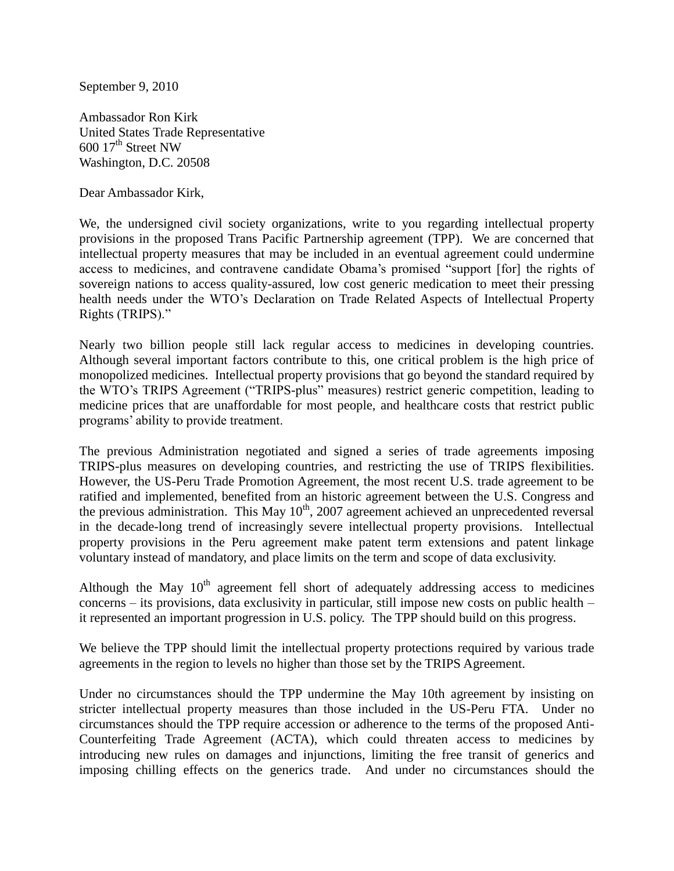September 9, 2010

Ambassador Ron Kirk United States Trade Representative  $600 \frac{17^{\text{th}}}{\text{Street NW}}$ Washington, D.C. 20508

Dear Ambassador Kirk,

We, the undersigned civil society organizations, write to you regarding intellectual property provisions in the proposed Trans Pacific Partnership agreement (TPP). We are concerned that intellectual property measures that may be included in an eventual agreement could undermine access to medicines, and contravene candidate Obama's promised "support [for] the rights of sovereign nations to access quality-assured, low cost generic medication to meet their pressing health needs under the WTO's Declaration on Trade Related Aspects of Intellectual Property Rights (TRIPS)."

Nearly two billion people still lack regular access to medicines in developing countries. Although several important factors contribute to this, one critical problem is the high price of monopolized medicines. Intellectual property provisions that go beyond the standard required by the WTO's TRIPS Agreement ("TRIPS-plus" measures) restrict generic competition, leading to medicine prices that are unaffordable for most people, and healthcare costs that restrict public programs' ability to provide treatment.

The previous Administration negotiated and signed a series of trade agreements imposing TRIPS-plus measures on developing countries, and restricting the use of TRIPS flexibilities. However, the US-Peru Trade Promotion Agreement, the most recent U.S. trade agreement to be ratified and implemented, benefited from an historic agreement between the U.S. Congress and the previous administration. This May  $10^{th}$ , 2007 agreement achieved an unprecedented reversal in the decade-long trend of increasingly severe intellectual property provisions. Intellectual property provisions in the Peru agreement make patent term extensions and patent linkage voluntary instead of mandatory, and place limits on the term and scope of data exclusivity.

Although the May  $10<sup>th</sup>$  agreement fell short of adequately addressing access to medicines concerns – its provisions, data exclusivity in particular, still impose new costs on public health – it represented an important progression in U.S. policy. The TPP should build on this progress.

We believe the TPP should limit the intellectual property protections required by various trade agreements in the region to levels no higher than those set by the TRIPS Agreement.

Under no circumstances should the TPP undermine the May 10th agreement by insisting on stricter intellectual property measures than those included in the US-Peru FTA. Under no circumstances should the TPP require accession or adherence to the terms of the proposed Anti-Counterfeiting Trade Agreement (ACTA), which could threaten access to medicines by introducing new rules on damages and injunctions, limiting the free transit of generics and imposing chilling effects on the generics trade. And under no circumstances should the